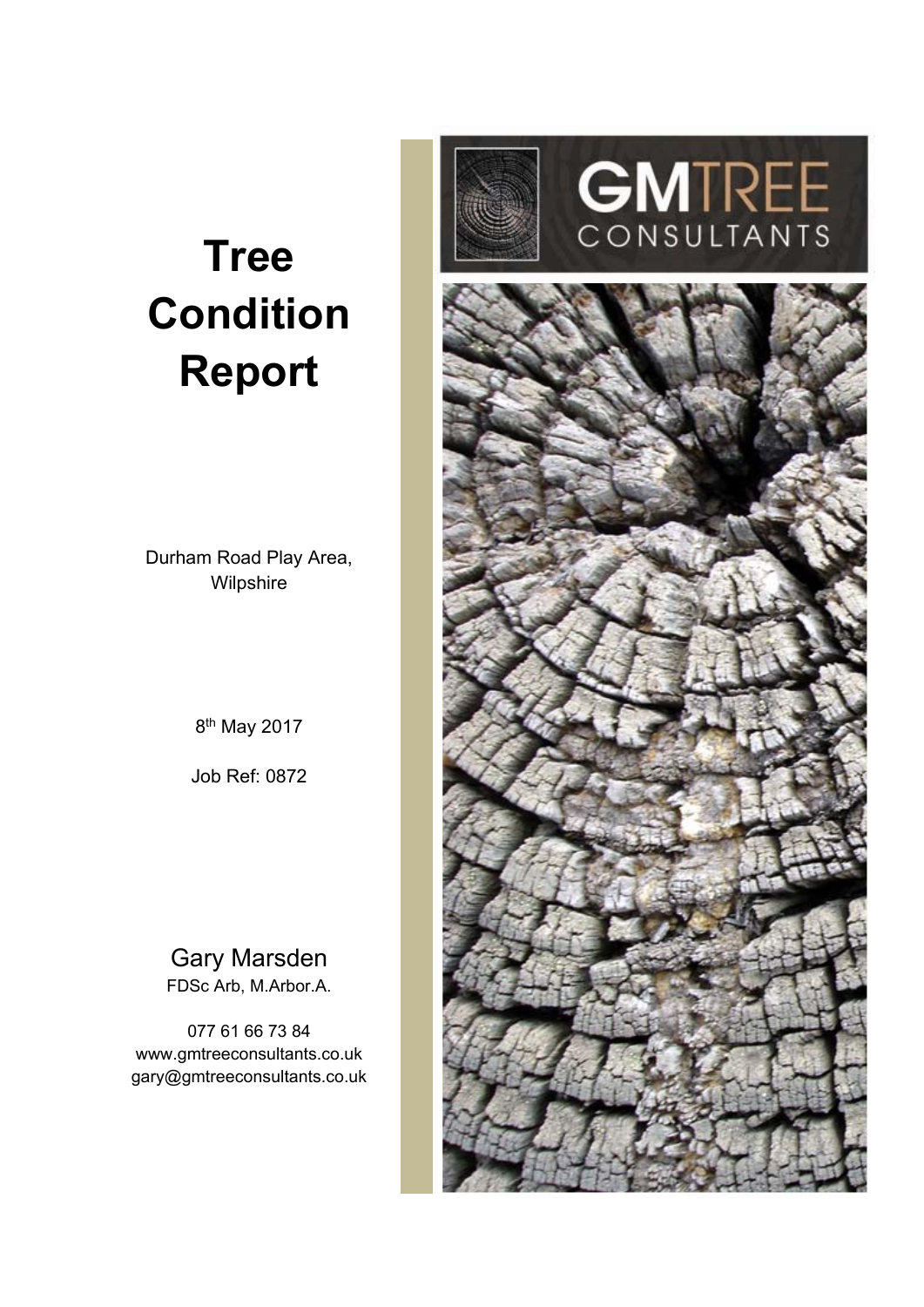# **Tree Condition Report**

Durham Road Play Area, Wilpshire

8<sup>th</sup> May 2017

Job Ref: 0872

#### Gary Marsden FDSc Arb, M.Arbor.A.

077 61 66 73 84 www.gmtreeconsultants.co.uk gary@gmtreeconsultants.co.uk



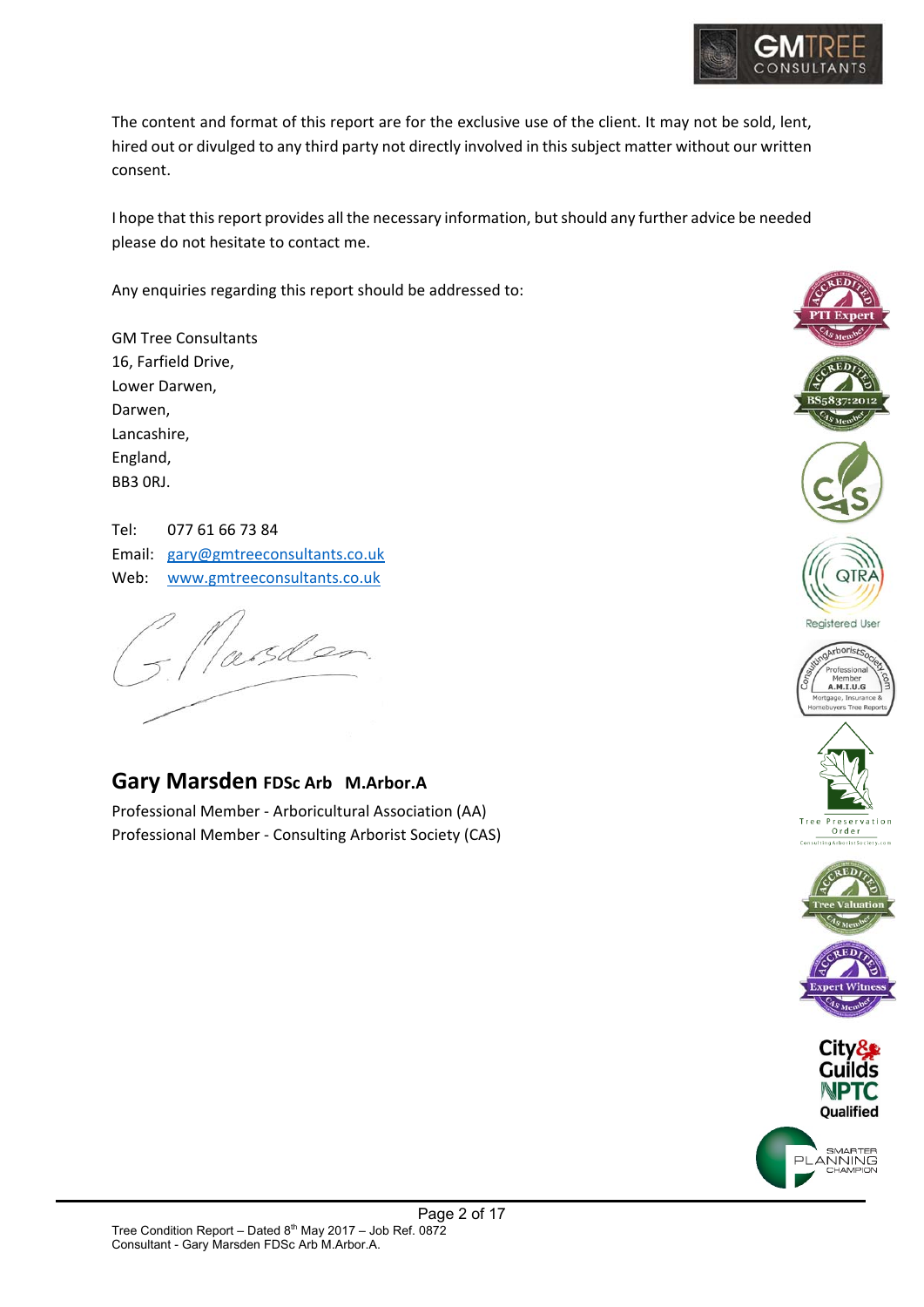

The content and format of this report are for the exclusive use of the client. It may not be sold, lent, hired out or divulged to any third party not directly involved in this subject matter without our written consent.

I hope that this report provides all the necessary information, but should any further advice be needed please do not hesitate to contact me.

Any enquiries regarding this report should be addressed to:

| <b>GM Tree Consultants</b> |
|----------------------------|
| 16, Farfield Drive,        |
| Lower Darwen,              |
| Darwen,                    |
| Lancashire,                |
| England,                   |
| BB3 ORJ.                   |

Tel: 077 61 66 73 84 Email: gary@gmtreeconsultants.co.uk Web: www.gmtreeconsultants.co.uk

Nasder

## **Gary Marsden FDSc Arb M.Arbor.A**

Professional Member ‐ Arboricultural Association (AA) Professional Member ‐ Consulting Arborist Society (CAS)

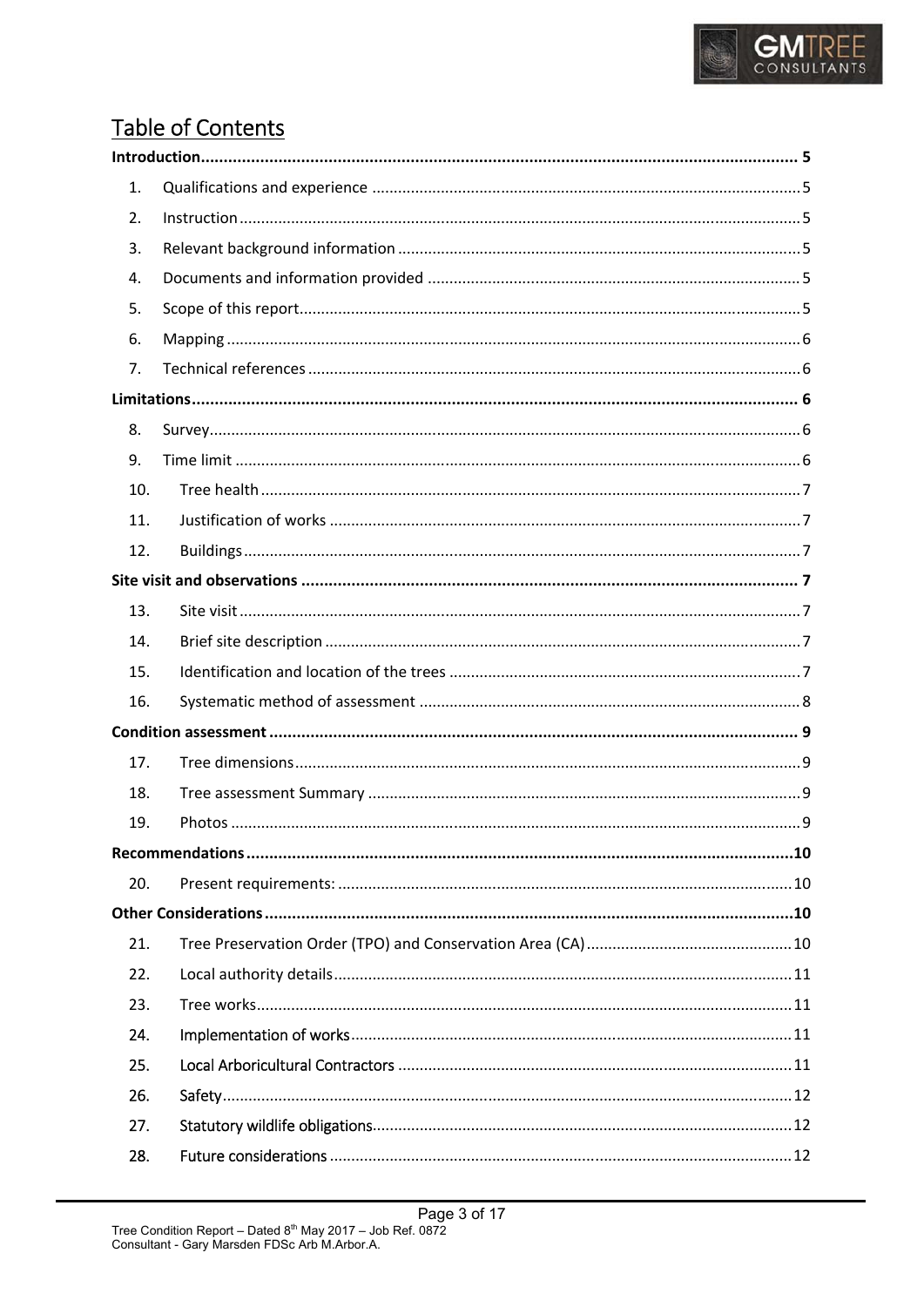

## **Table of Contents**

| 1.  |  |  |
|-----|--|--|
| 2.  |  |  |
| 3.  |  |  |
| 4.  |  |  |
| 5.  |  |  |
| 6.  |  |  |
| 7.  |  |  |
|     |  |  |
| 8.  |  |  |
| 9.  |  |  |
| 10. |  |  |
| 11. |  |  |
| 12. |  |  |
|     |  |  |
| 13. |  |  |
| 14. |  |  |
| 15. |  |  |
| 16. |  |  |
|     |  |  |
| 17. |  |  |
| 18. |  |  |
| 19. |  |  |
|     |  |  |
| 20. |  |  |
|     |  |  |
| 21. |  |  |
| 22. |  |  |
| 23. |  |  |
| 24. |  |  |
| 25. |  |  |
| 26. |  |  |
| 27. |  |  |
| 28. |  |  |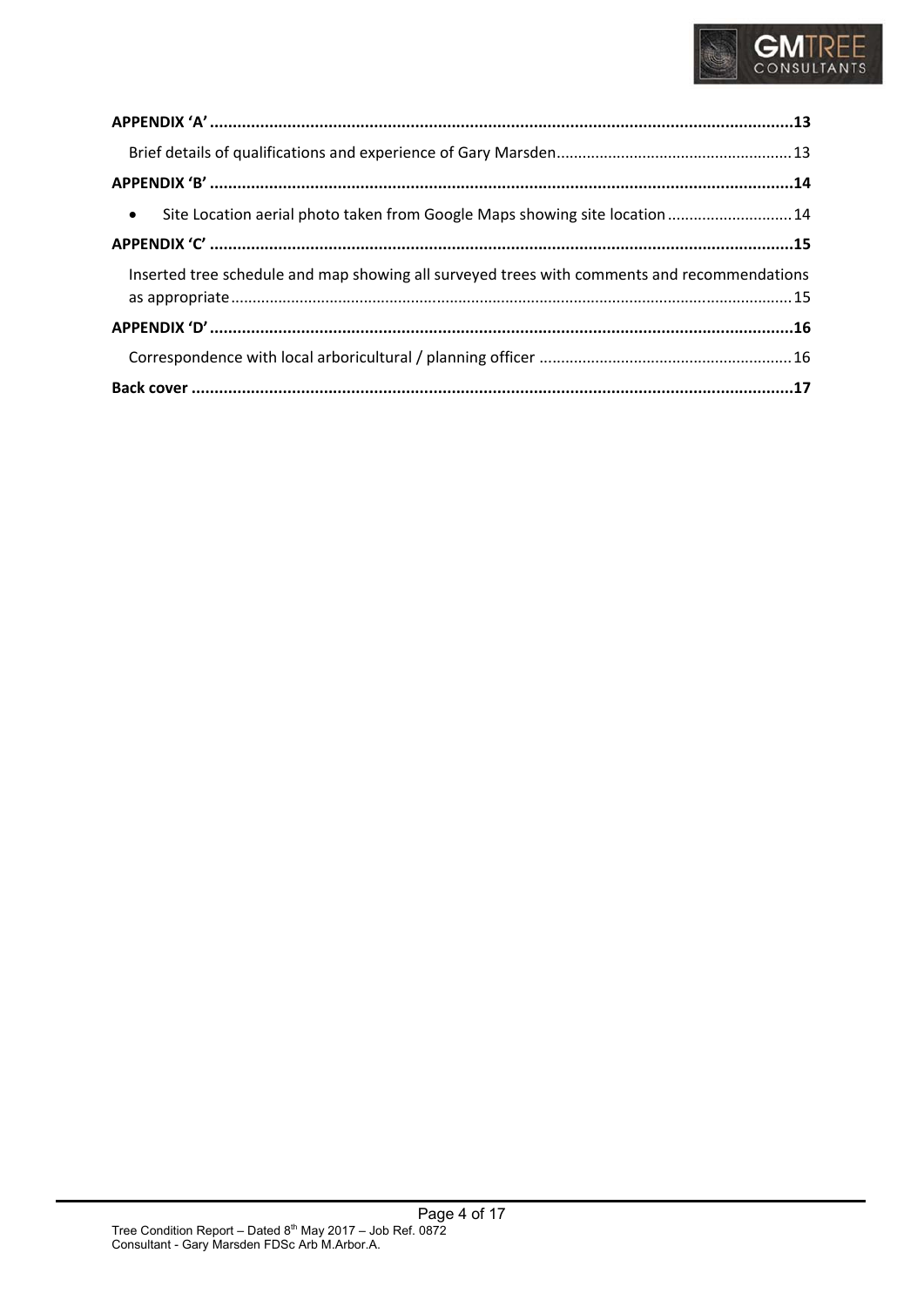

| • Site Location aerial photo taken from Google Maps showing site location  14               |  |  |
|---------------------------------------------------------------------------------------------|--|--|
|                                                                                             |  |  |
| Inserted tree schedule and map showing all surveyed trees with comments and recommendations |  |  |
|                                                                                             |  |  |
|                                                                                             |  |  |
|                                                                                             |  |  |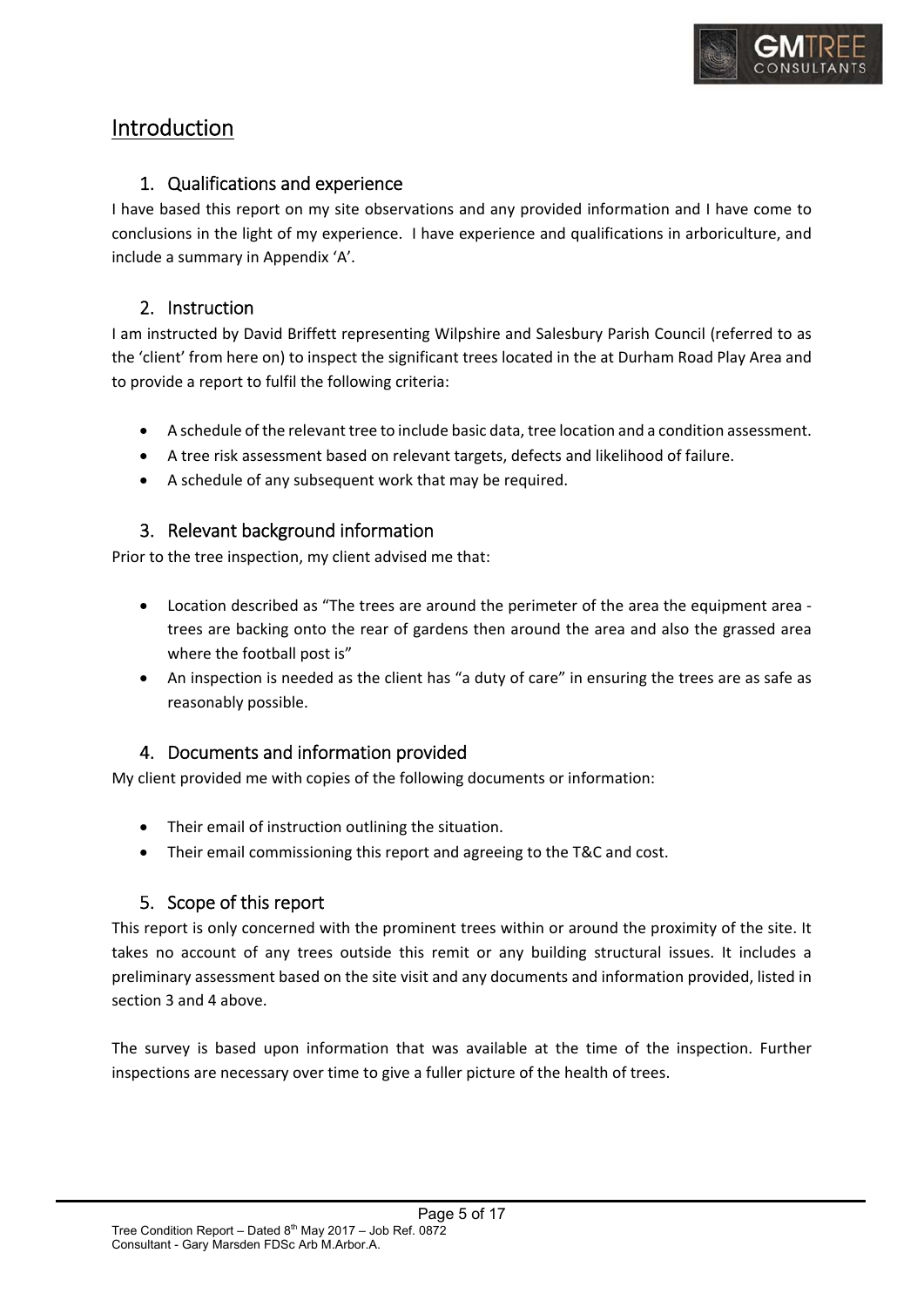

## Introduction

#### 1. Qualifications and experience

I have based this report on my site observations and any provided information and I have come to conclusions in the light of my experience. I have experience and qualifications in arboriculture, and include a summary in Appendix 'A'.

#### 2. Instruction

I am instructed by David Briffett representing Wilpshire and Salesbury Parish Council (referred to as the 'client' from here on) to inspect the significant trees located in the at Durham Road Play Area and to provide a report to fulfil the following criteria:

- A schedule of the relevant tree to include basic data, tree location and a condition assessment.
- A tree risk assessment based on relevant targets, defects and likelihood of failure.
- A schedule of any subsequent work that may be required.

#### 3. Relevant background information

Prior to the tree inspection, my client advised me that:

- Location described as "The trees are around the perimeter of the area the equipment area ‐ trees are backing onto the rear of gardens then around the area and also the grassed area where the football post is"
- An inspection is needed as the client has "a duty of care" in ensuring the trees are as safe as reasonably possible.

#### 4. Documents and information provided

My client provided me with copies of the following documents or information:

- Their email of instruction outlining the situation.
- Their email commissioning this report and agreeing to the T&C and cost.

#### 5. Scope of this report

This report is only concerned with the prominent trees within or around the proximity of the site. It takes no account of any trees outside this remit or any building structural issues. It includes a preliminary assessment based on the site visit and any documents and information provided, listed in section 3 and 4 above.

The survey is based upon information that was available at the time of the inspection. Further inspections are necessary over time to give a fuller picture of the health of trees.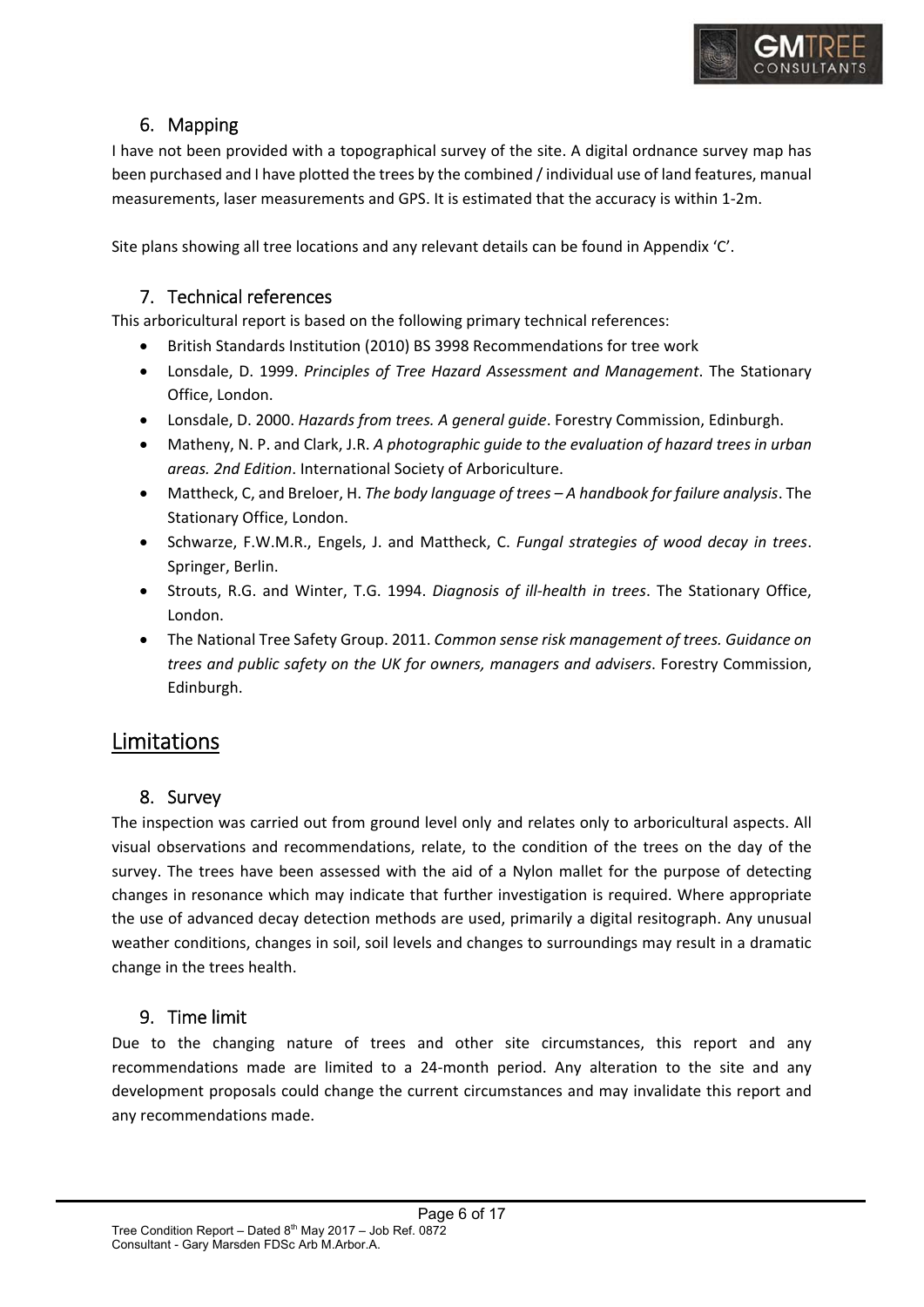

#### 6. Mapping

I have not been provided with a topographical survey of the site. A digital ordnance survey map has been purchased and I have plotted the trees by the combined / individual use of land features, manual measurements, laser measurements and GPS. It is estimated that the accuracy is within 1‐2m.

Site plans showing all tree locations and any relevant details can be found in Appendix 'C'.

#### 7. Technical references

This arboricultural report is based on the following primary technical references:

- British Standards Institution (2010) BS 3998 Recommendations for tree work
- Lonsdale, D. 1999. *Principles of Tree Hazard Assessment and Management*. The Stationary Office, London.
- Lonsdale, D. 2000. *Hazards from trees. A general guide*. Forestry Commission, Edinburgh.
- Matheny, N. P. and Clark, J.R. *A photographic guide to the evaluation of hazard trees in urban areas. 2nd Edition*. International Society of Arboriculture.
- Mattheck, C, and Breloer, H. *The body language of trees A handbook for failure analysis*. The Stationary Office, London.
- Schwarze, F.W.M.R., Engels, J. and Mattheck, C. *Fungal strategies of wood decay in trees*. Springer, Berlin.
- Strouts, R.G. and Winter, T.G. 1994. *Diagnosis of ill‐health in trees*. The Stationary Office, London.
- The National Tree Safety Group. 2011. *Common sense risk management of trees. Guidance on trees and public safety on the UK for owners, managers and advisers*. Forestry Commission, Edinburgh.

## Limitations

#### 8. Survey

The inspection was carried out from ground level only and relates only to arboricultural aspects. All visual observations and recommendations, relate, to the condition of the trees on the day of the survey. The trees have been assessed with the aid of a Nylon mallet for the purpose of detecting changes in resonance which may indicate that further investigation is required. Where appropriate the use of advanced decay detection methods are used, primarily a digital resitograph. Any unusual weather conditions, changes in soil, soil levels and changes to surroundings may result in a dramatic change in the trees health.

#### 9. Time limit

Due to the changing nature of trees and other site circumstances, this report and any recommendations made are limited to a 24-month period. Any alteration to the site and any development proposals could change the current circumstances and may invalidate this report and any recommendations made.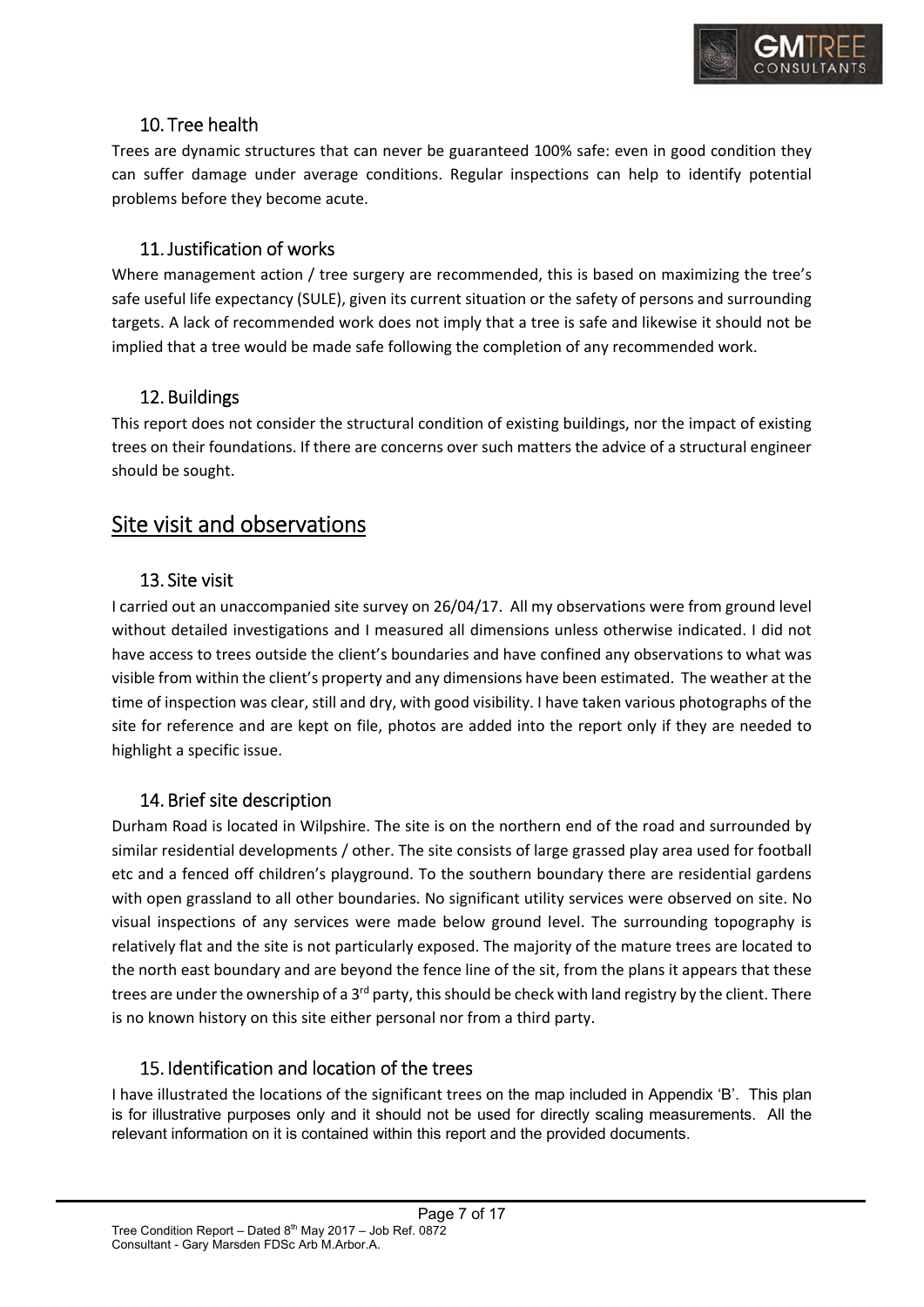

#### 10. Tree health

Trees are dynamic structures that can never be guaranteed 100% safe: even in good condition they can suffer damage under average conditions. Regular inspections can help to identify potential problems before they become acute.

#### 11.Justification of works

Where management action / tree surgery are recommended, this is based on maximizing the tree's safe useful life expectancy (SULE), given its current situation or the safety of persons and surrounding targets. A lack of recommended work does not imply that a tree is safe and likewise it should not be implied that a tree would be made safe following the completion of any recommended work.

#### 12. Buildings

This report does not consider the structural condition of existing buildings, nor the impact of existing trees on their foundations. If there are concerns over such matters the advice of a structural engineer should be sought.

## Site visit and observations

#### 13. Site visit

I carried out an unaccompanied site survey on 26/04/17. All my observations were from ground level without detailed investigations and I measured all dimensions unless otherwise indicated. I did not have access to trees outside the client's boundaries and have confined any observations to what was visible from within the client's property and any dimensions have been estimated. The weather at the time of inspection was clear, still and dry, with good visibility. I have taken various photographs of the site for reference and are kept on file, photos are added into the report only if they are needed to highlight a specific issue.

#### 14. Brief site description

Durham Road is located in Wilpshire. The site is on the northern end of the road and surrounded by similar residential developments / other. The site consists of large grassed play area used for football etc and a fenced off children's playground. To the southern boundary there are residential gardens with open grassland to all other boundaries. No significant utility services were observed on site. No visual inspections of any services were made below ground level. The surrounding topography is relatively flat and the site is not particularly exposed. The majority of the mature trees are located to the north east boundary and are beyond the fence line of the sit, from the plans it appears that these trees are under the ownership of a  $3<sup>rd</sup>$  party, this should be check with land registry by the client. There is no known history on this site either personal nor from a third party.

#### 15. Identification and location of the trees

I have illustrated the locations of the significant trees on the map included in Appendix 'B'. This plan is for illustrative purposes only and it should not be used for directly scaling measurements. All the relevant information on it is contained within this report and the provided documents.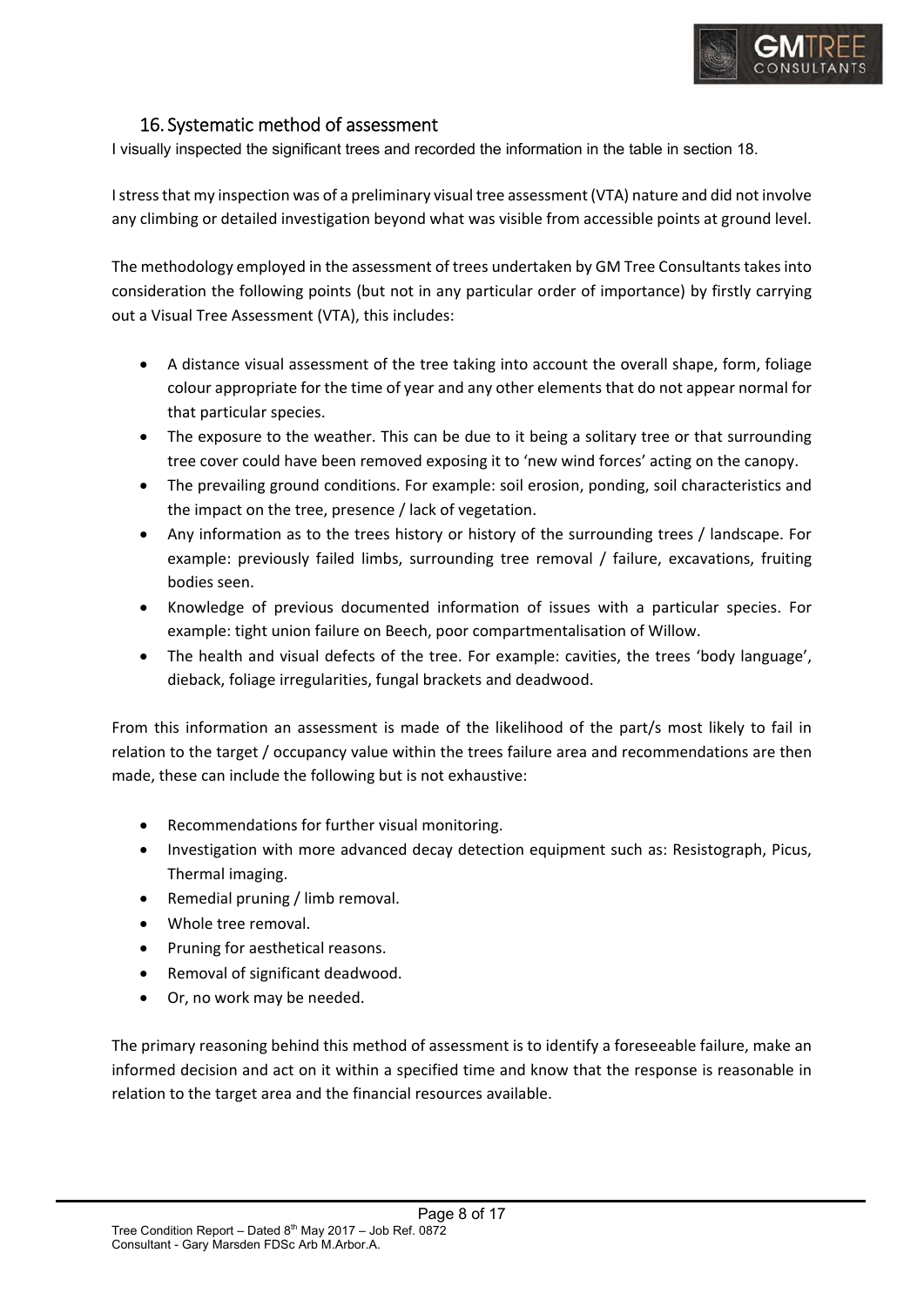

#### 16. Systematic method of assessment

I visually inspected the significant trees and recorded the information in the table in section 18.

I stress that my inspection was of a preliminary visual tree assessment (VTA) nature and did not involve any climbing or detailed investigation beyond what was visible from accessible points at ground level.

The methodology employed in the assessment of trees undertaken by GM Tree Consultants takes into consideration the following points (but not in any particular order of importance) by firstly carrying out a Visual Tree Assessment (VTA), this includes:

- A distance visual assessment of the tree taking into account the overall shape, form, foliage colour appropriate for the time of year and any other elements that do not appear normal for that particular species.
- The exposure to the weather. This can be due to it being a solitary tree or that surrounding tree cover could have been removed exposing it to 'new wind forces' acting on the canopy.
- The prevailing ground conditions. For example: soil erosion, ponding, soil characteristics and the impact on the tree, presence / lack of vegetation.
- Any information as to the trees history or history of the surrounding trees / landscape. For example: previously failed limbs, surrounding tree removal / failure, excavations, fruiting bodies seen.
- Knowledge of previous documented information of issues with a particular species. For example: tight union failure on Beech, poor compartmentalisation of Willow.
- The health and visual defects of the tree. For example: cavities, the trees 'body language', dieback, foliage irregularities, fungal brackets and deadwood.

From this information an assessment is made of the likelihood of the part/s most likely to fail in relation to the target / occupancy value within the trees failure area and recommendations are then made, these can include the following but is not exhaustive:

- Recommendations for further visual monitoring.
- Investigation with more advanced decay detection equipment such as: Resistograph, Picus, Thermal imaging.
- Remedial pruning / limb removal.
- Whole tree removal.
- Pruning for aesthetical reasons.
- Removal of significant deadwood.
- Or, no work may be needed.

The primary reasoning behind this method of assessment is to identify a foreseeable failure, make an informed decision and act on it within a specified time and know that the response is reasonable in relation to the target area and the financial resources available.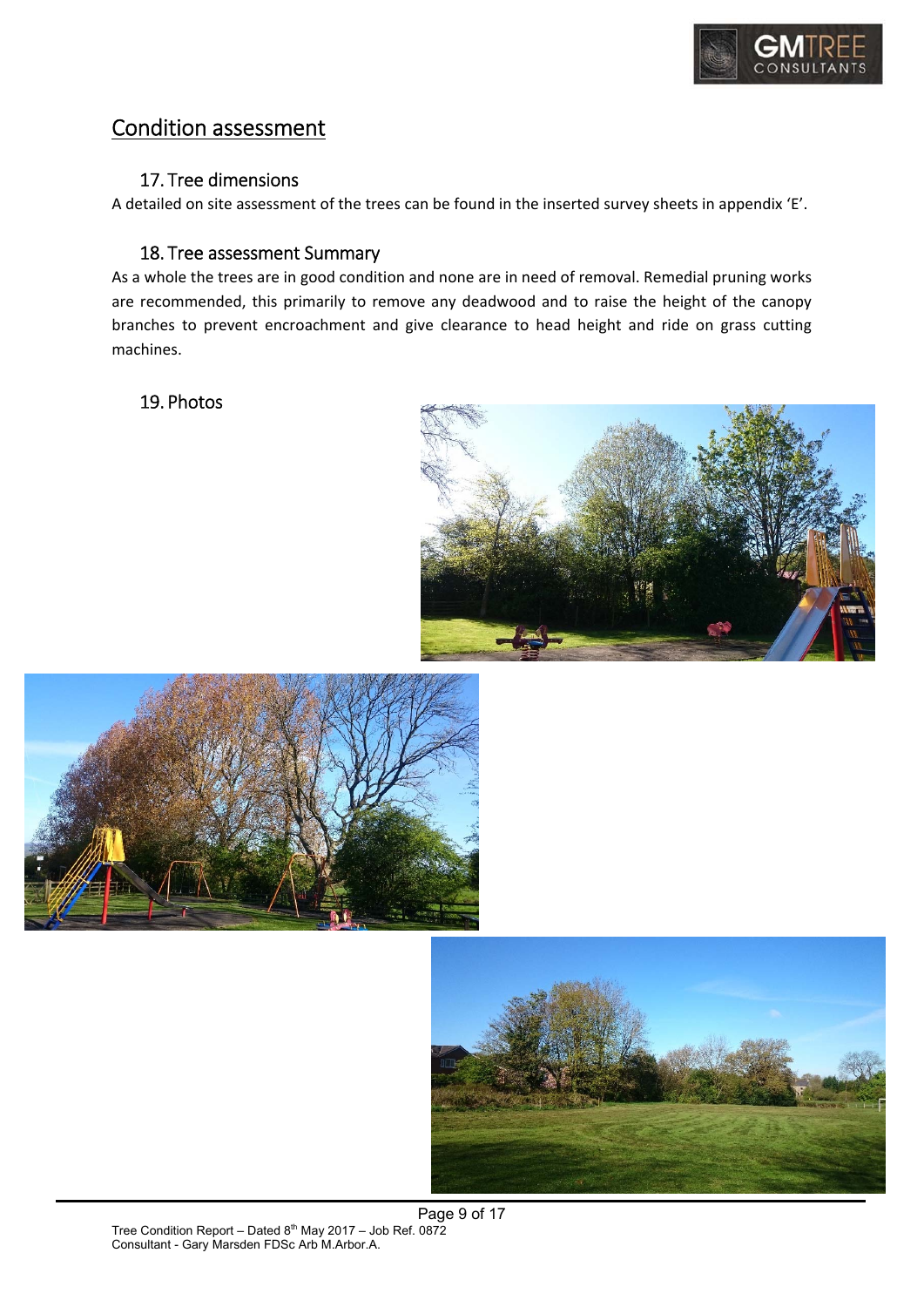

## Condition assessment

#### 17. Tree dimensions

A detailed on site assessment of the trees can be found in the inserted survey sheets in appendix 'E'.

#### 18. Tree assessment Summary

As a whole the trees are in good condition and none are in need of removal. Remedial pruning works are recommended, this primarily to remove any deadwood and to raise the height of the canopy branches to prevent encroachment and give clearance to head height and ride on grass cutting machines.

#### 19. Photos





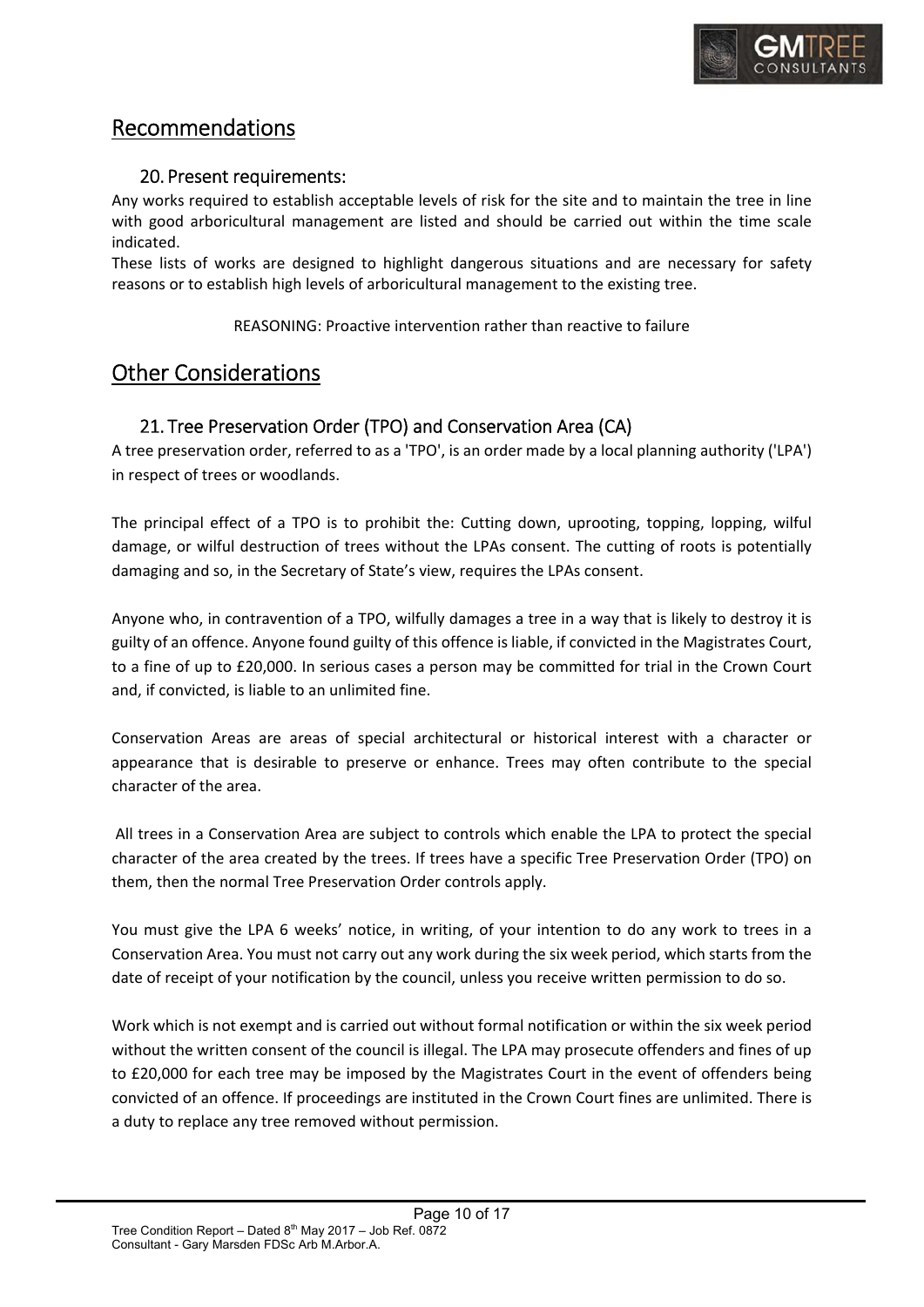

## Recommendations

#### 20. Present requirements:

Any works required to establish acceptable levels of risk for the site and to maintain the tree in line with good arboricultural management are listed and should be carried out within the time scale indicated.

These lists of works are designed to highlight dangerous situations and are necessary for safety reasons or to establish high levels of arboricultural management to the existing tree.

REASONING: Proactive intervention rather than reactive to failure

## Other Considerations

#### 21. Tree Preservation Order (TPO) and Conservation Area (CA)

A tree preservation order, referred to as a 'TPO', is an order made by a local planning authority ('LPA') in respect of trees or woodlands.

The principal effect of a TPO is to prohibit the: Cutting down, uprooting, topping, lopping, wilful damage, or wilful destruction of trees without the LPAs consent. The cutting of roots is potentially damaging and so, in the Secretary of State's view, requires the LPAs consent.

Anyone who, in contravention of a TPO, wilfully damages a tree in a way that is likely to destroy it is guilty of an offence. Anyone found guilty of this offence is liable, if convicted in the Magistrates Court, to a fine of up to £20,000. In serious cases a person may be committed for trial in the Crown Court and, if convicted, is liable to an unlimited fine.

Conservation Areas are areas of special architectural or historical interest with a character or appearance that is desirable to preserve or enhance. Trees may often contribute to the special character of the area.

 All trees in a Conservation Area are subject to controls which enable the LPA to protect the special character of the area created by the trees. If trees have a specific Tree Preservation Order (TPO) on them, then the normal Tree Preservation Order controls apply.

You must give the LPA 6 weeks' notice, in writing, of your intention to do any work to trees in a Conservation Area. You must not carry out any work during the six week period, which starts from the date of receipt of your notification by the council, unless you receive written permission to do so.

Work which is not exempt and is carried out without formal notification or within the six week period without the written consent of the council is illegal. The LPA may prosecute offenders and fines of up to £20,000 for each tree may be imposed by the Magistrates Court in the event of offenders being convicted of an offence. If proceedings are instituted in the Crown Court fines are unlimited. There is a duty to replace any tree removed without permission.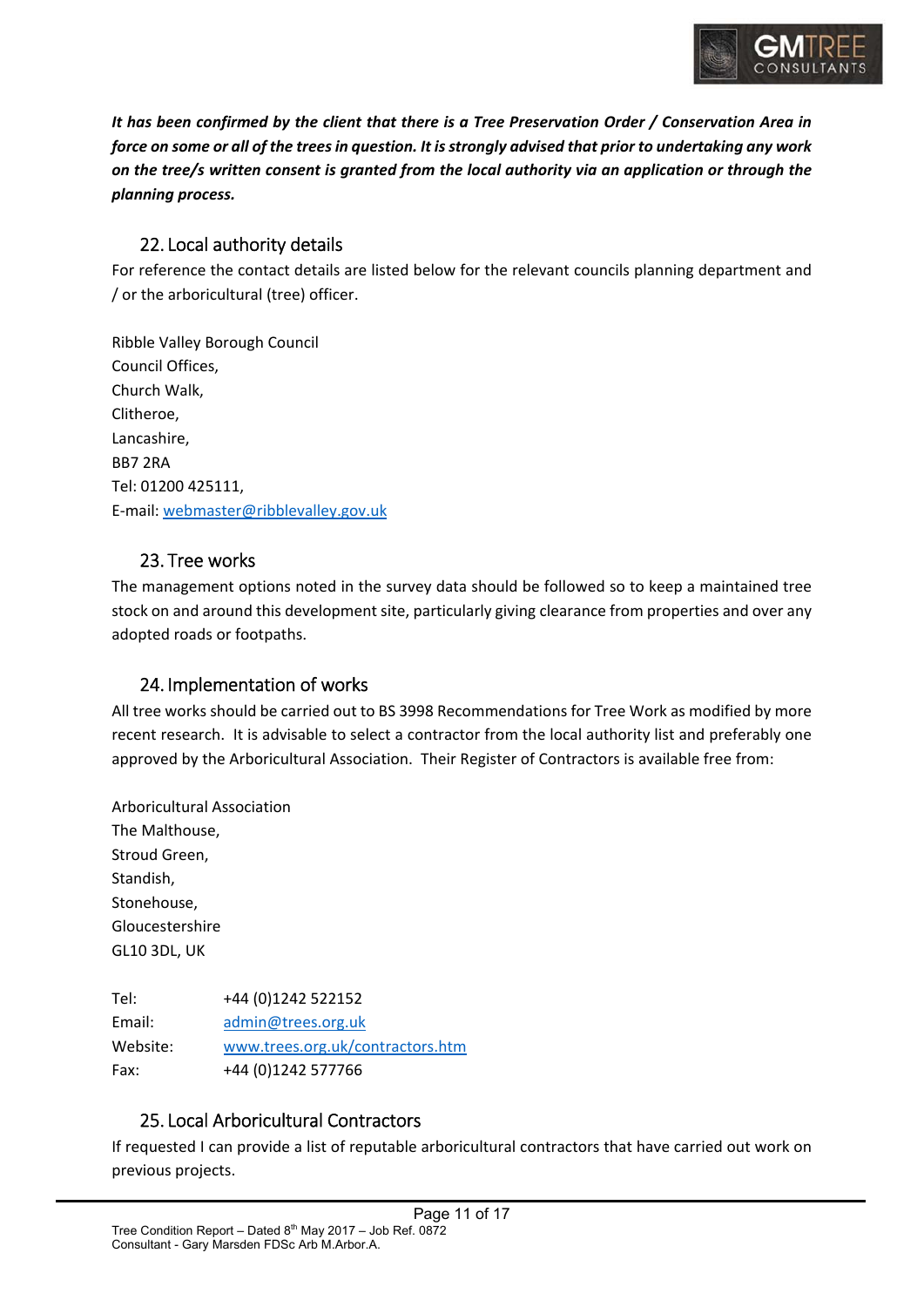

*It has been confirmed by the client that there is a Tree Preservation Order / Conservation Area in force on some or all of the trees in question. It is strongly advised that prior to undertaking any work on the tree/s written consent is granted from the local authority via an application or through the planning process.* 

#### 22. Local authority details

For reference the contact details are listed below for the relevant councils planning department and / or the arboricultural (tree) officer.

Ribble Valley Borough Council Council Offices, Church Walk, Clitheroe, Lancashire, BB7 2RA Tel: 01200 425111, E‐mail: webmaster@ribblevalley.gov.uk

#### 23. Tree works

The management options noted in the survey data should be followed so to keep a maintained tree stock on and around this development site, particularly giving clearance from properties and over any adopted roads or footpaths.

#### 24. Implementation of works

All tree works should be carried out to BS 3998 Recommendations for Tree Work as modified by more recent research. It is advisable to select a contractor from the local authority list and preferably one approved by the Arboricultural Association. Their Register of Contractors is available free from:

Arboricultural Association The Malthouse, Stroud Green, Standish, Stonehouse, Gloucestershire GL10 3DL, UK

Tel: +44 (0)1242 522152 Email: admin@trees.org.uk Website: www.trees.org.uk/contractors.htm Fax: +44 (0)1242 577766

#### 25. Local Arboricultural Contractors

If requested I can provide a list of reputable arboricultural contractors that have carried out work on previous projects.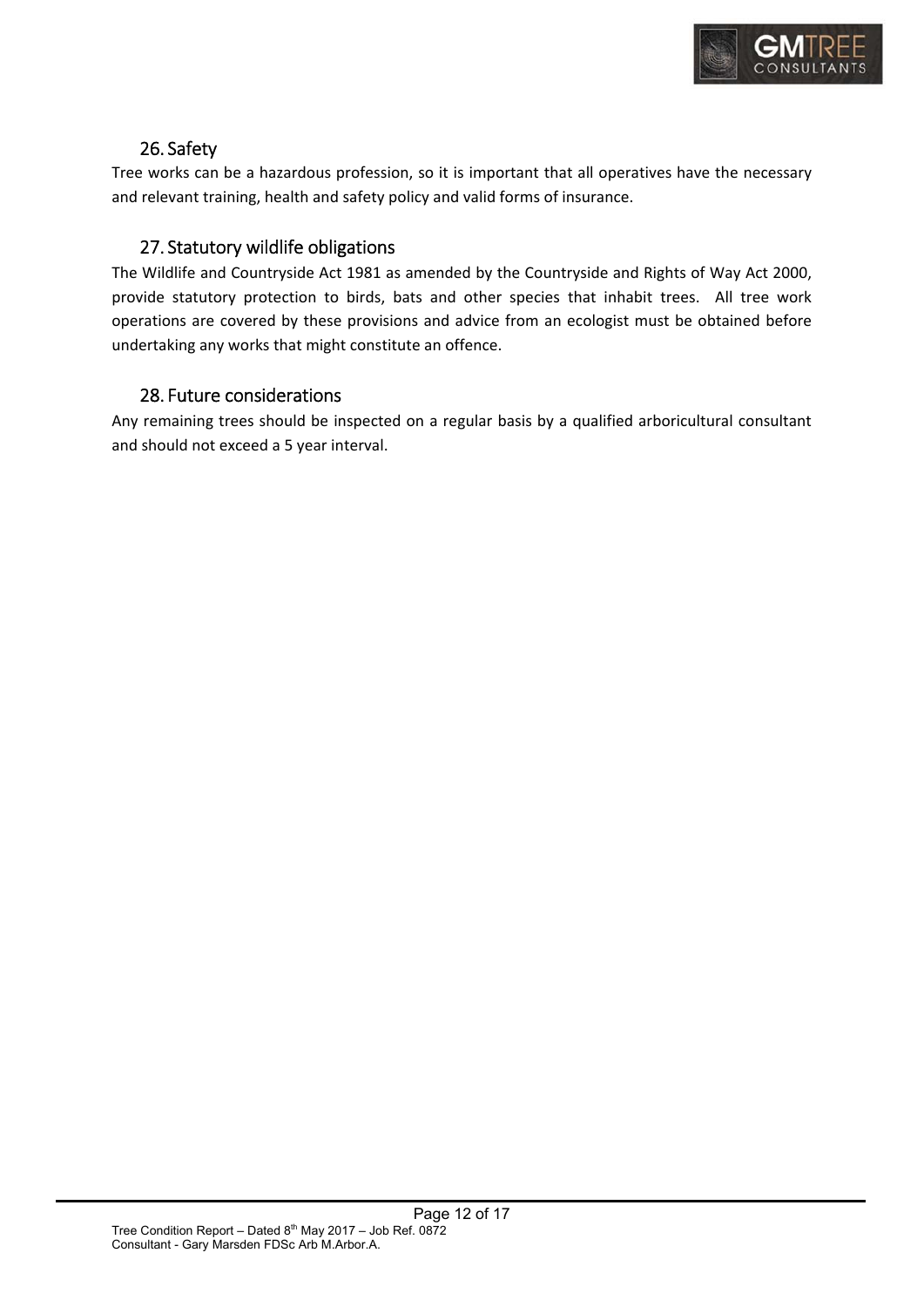

#### 26. Safety

Tree works can be a hazardous profession, so it is important that all operatives have the necessary and relevant training, health and safety policy and valid forms of insurance.

#### 27. Statutory wildlife obligations

The Wildlife and Countryside Act 1981 as amended by the Countryside and Rights of Way Act 2000, provide statutory protection to birds, bats and other species that inhabit trees. All tree work operations are covered by these provisions and advice from an ecologist must be obtained before undertaking any works that might constitute an offence.

#### 28. Future considerations

Any remaining trees should be inspected on a regular basis by a qualified arboricultural consultant and should not exceed a 5 year interval.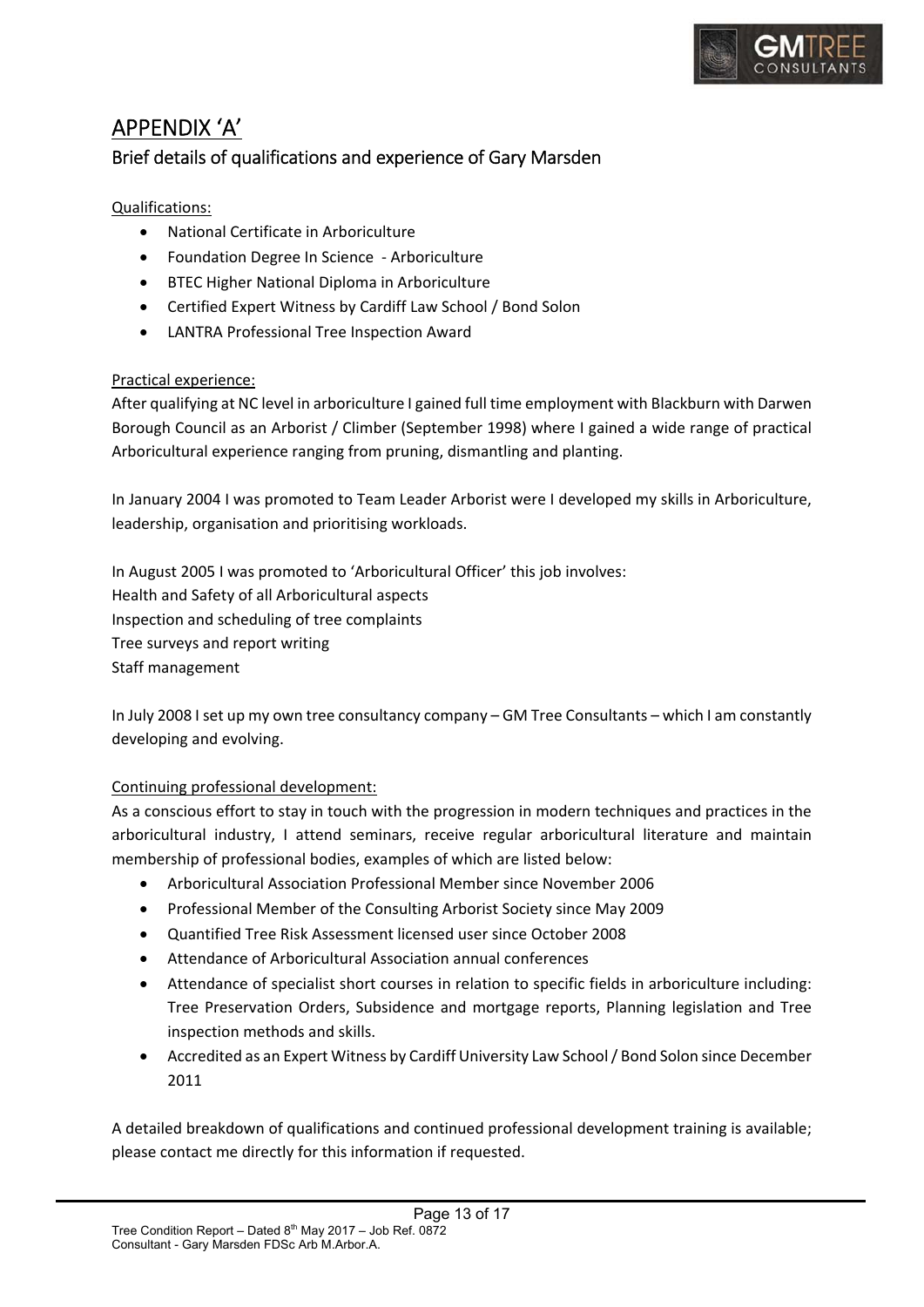

## APPENDIX 'A' Brief details of qualifications and experience of Gary Marsden

#### Qualifications:

- National Certificate in Arboriculture
- Foundation Degree In Science ‐ Arboriculture
- BTEC Higher National Diploma in Arboriculture
- Certified Expert Witness by Cardiff Law School / Bond Solon
- LANTRA Professional Tree Inspection Award

#### Practical experience:

After qualifying at NC level in arboriculture I gained full time employment with Blackburn with Darwen Borough Council as an Arborist / Climber (September 1998) where I gained a wide range of practical Arboricultural experience ranging from pruning, dismantling and planting.

In January 2004 I was promoted to Team Leader Arborist were I developed my skills in Arboriculture, leadership, organisation and prioritising workloads.

In August 2005 I was promoted to 'Arboricultural Officer' this job involves: Health and Safety of all Arboricultural aspects Inspection and scheduling of tree complaints Tree surveys and report writing Staff management

In July 2008 I set up my own tree consultancy company – GM Tree Consultants – which I am constantly developing and evolving.

#### Continuing professional development:

As a conscious effort to stay in touch with the progression in modern techniques and practices in the arboricultural industry, I attend seminars, receive regular arboricultural literature and maintain membership of professional bodies, examples of which are listed below:

- Arboricultural Association Professional Member since November 2006
- Professional Member of the Consulting Arborist Society since May 2009
- Quantified Tree Risk Assessment licensed user since October 2008
- Attendance of Arboricultural Association annual conferences
- Attendance of specialist short courses in relation to specific fields in arboriculture including: Tree Preservation Orders, Subsidence and mortgage reports, Planning legislation and Tree inspection methods and skills.
- Accredited as an Expert Witness by Cardiff University Law School / Bond Solon since December 2011

A detailed breakdown of qualifications and continued professional development training is available; please contact me directly for this information if requested.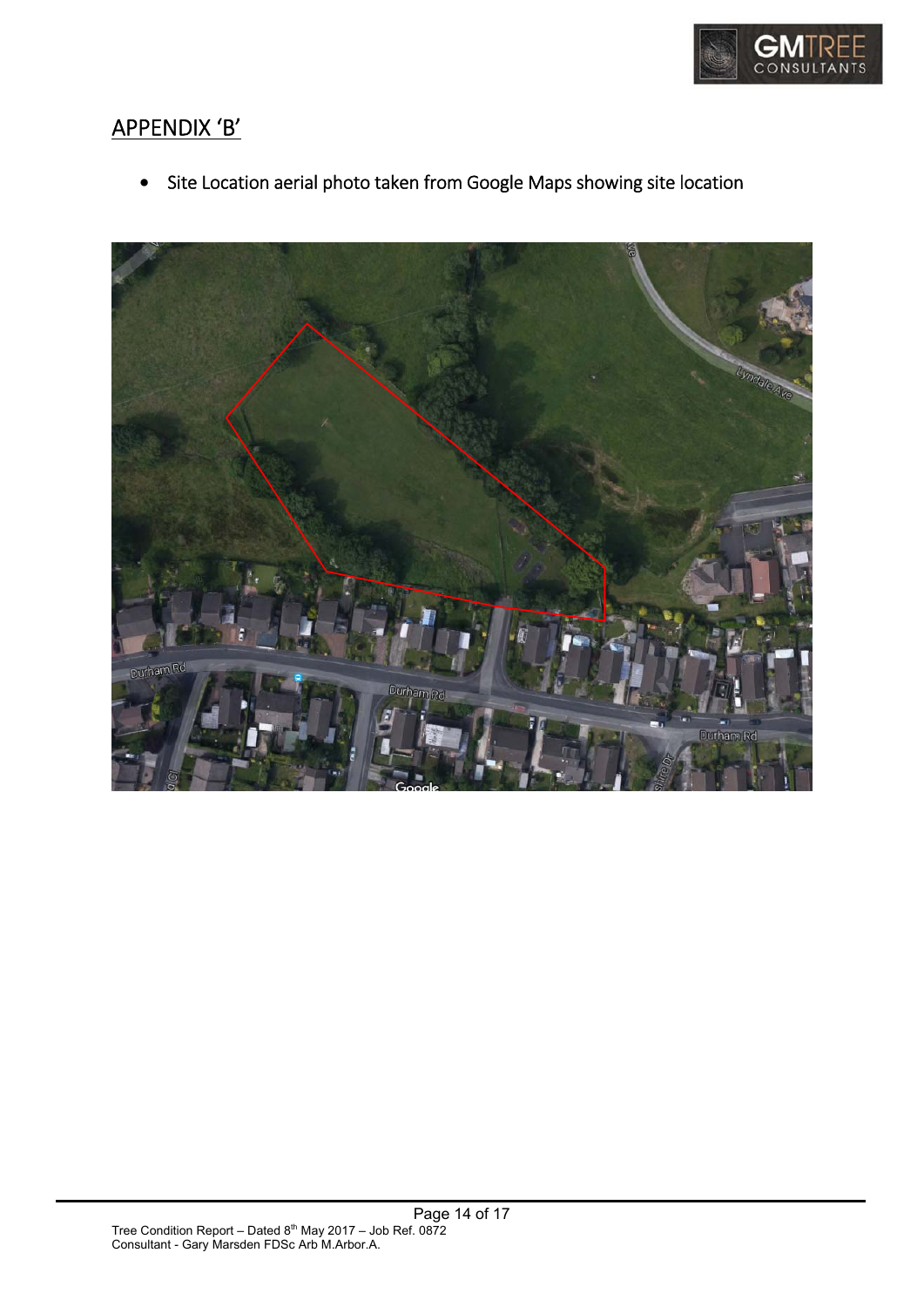

## APPENDIX 'B'

Site Location aerial photo taken from Google Maps showing site location

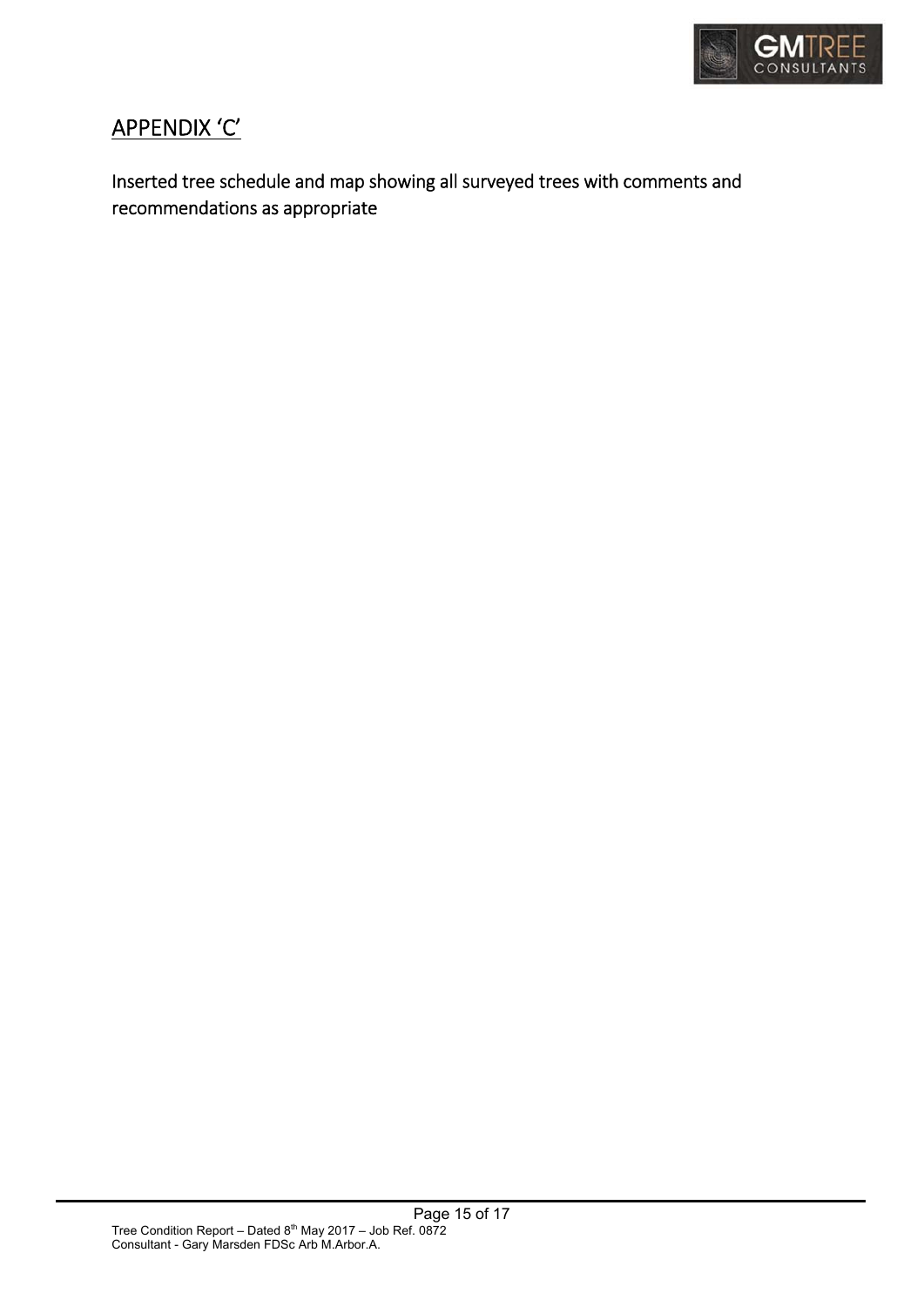

## APPENDIX 'C'

Inserted tree schedule and map showing all surveyed trees with comments and recommendations as appropriate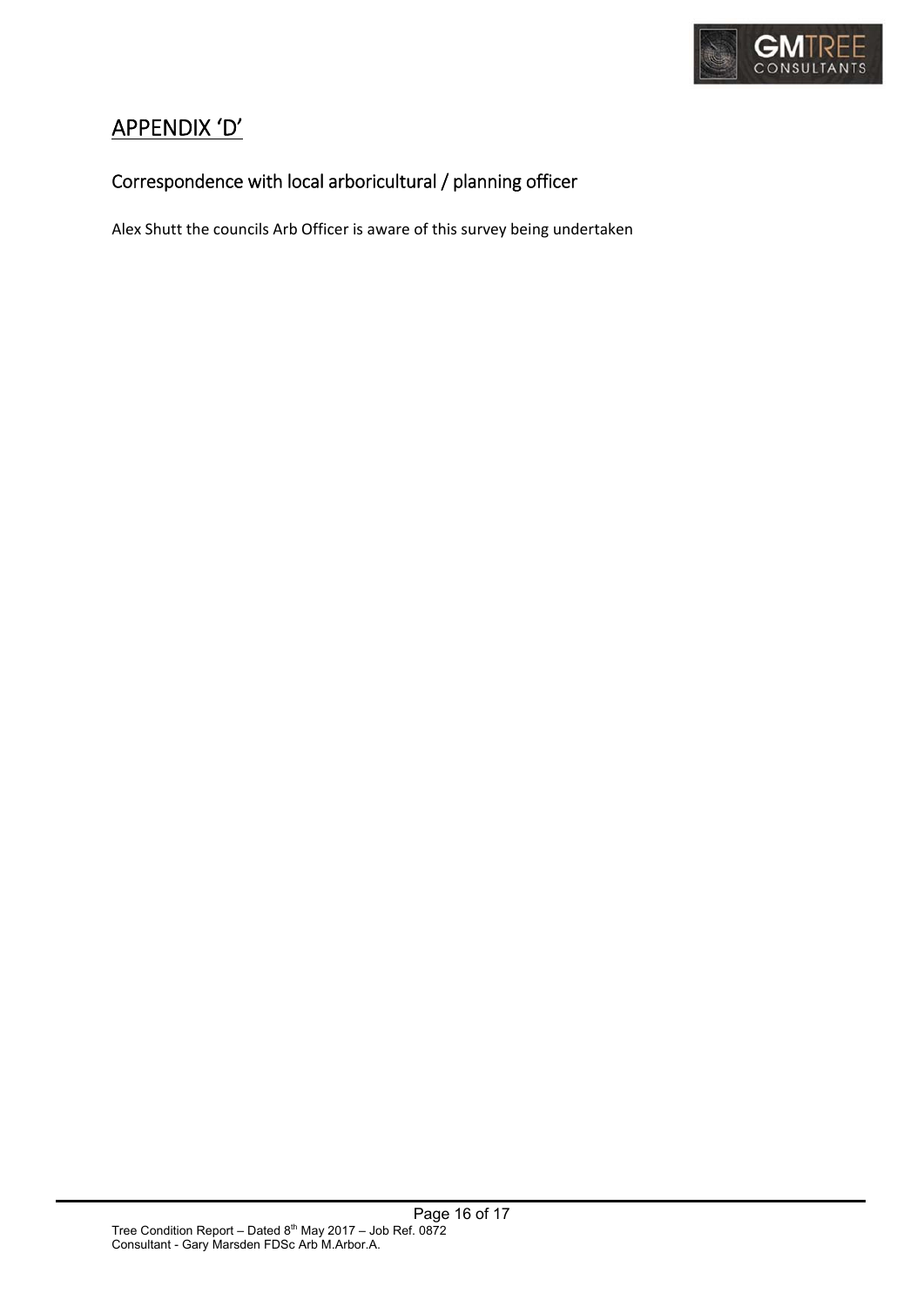

## APPENDIX 'D'

## Correspondence with local arboricultural / planning officer

Alex Shutt the councils Arb Officer is aware of this survey being undertaken